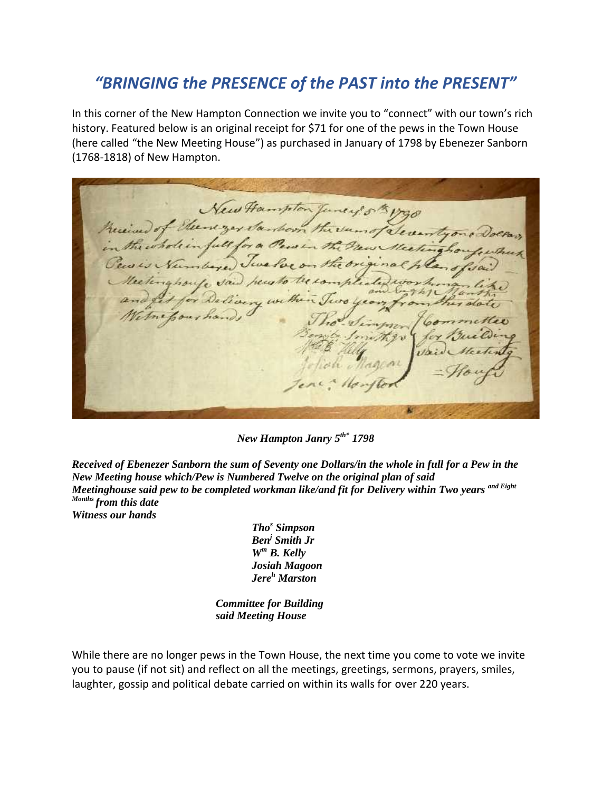## *"BRINGING the PRESENCE of the PAST into the PRESENT"*

In this corner of the New Hampton Connection we invite you to "connect" with our town's rich history. Featured below is an original receipt for \$71 for one of the pews in the Town House (here called "the New Meeting House") as purchased in January of 1798 by Ebenezer Sanborn (1768-1818) of New Hampton.

ew Hampton Tu of the regardan Seventyon show the  $-\frac{1}{2}$ the one it of

*New Hampton Janry 5th\* 1798*

*Received of Ebenezer Sanborn the sum of Seventy one Dollars/in the whole in full for a Pew in the New Meeting house which/Pew is Numbered Twelve on the original plan of said Meetinghouse said pew to be completed workman like/and fit for Delivery within Two years and Eight Months from this date Witness our hands*

> *Tho<sup>s</sup> Simpson Ben<sup>j</sup> Smith Jr W<sup>m</sup> B. Kelly Josiah Magoon Jere<sup>h</sup> Marston*

*Committee for Building said Meeting House*

While there are no longer pews in the Town House, the next time you come to vote we invite you to pause (if not sit) and reflect on all the meetings, greetings, sermons, prayers, smiles, laughter, gossip and political debate carried on within its walls for over 220 years.